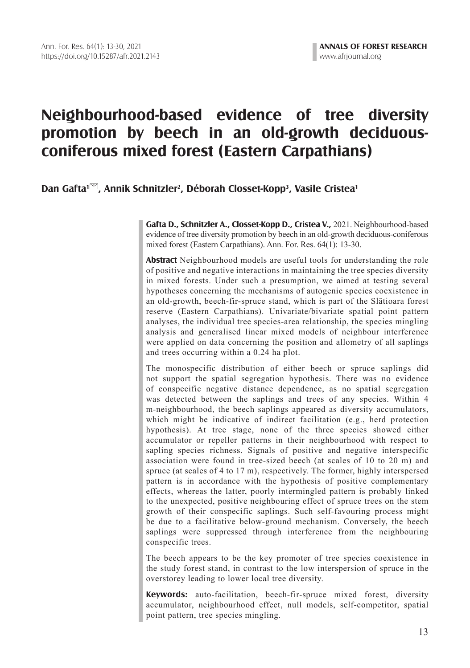# **Neighbourhood-based evidence of tree diversity promotion by beech in an old-growth deciduousconiferous mixed forest (Eastern Carpathians)**

# **Dan Gafta<sup>1</sup>, Annik Schnitzler<sup>2</sup>, Déborah Closset-Kopp<sup>3</sup>, Vasile Cristea<sup>1</sup>**

**Gafta D., Schnitzler A., Closset-Kopp D., Cristea V.,** 2021. Neighbourhood-based evidence of tree diversity promotion by beech in an old-growth deciduous-coniferous mixed forest (Eastern Carpathians). Ann. For. Res. 64(1): 13-30.

**Abstract** Neighbourhood models are useful tools for understanding the role of positive and negative interactions in maintaining the tree species diversity in mixed forests. Under such a presumption, we aimed at testing several hypotheses concerning the mechanisms of autogenic species coexistence in an old-growth, beech-fir-spruce stand, which is part of the Slătioara forest reserve (Eastern Carpathians). Univariate/bivariate spatial point pattern analyses, the individual tree species-area relationship, the species mingling analysis and generalised linear mixed models of neighbour interference were applied on data concerning the position and allometry of all saplings and trees occurring within a 0.24 ha plot.

The monospecific distribution of either beech or spruce saplings did not support the spatial segregation hypothesis. There was no evidence of conspecific negative distance dependence, as no spatial segregation was detected between the saplings and trees of any species. Within 4 m-neighbourhood, the beech saplings appeared as diversity accumulators, which might be indicative of indirect facilitation (e.g., herd protection hypothesis). At tree stage, none of the three species showed either accumulator or repeller patterns in their neighbourhood with respect to sapling species richness. Signals of positive and negative interspecific association were found in tree-sized beech (at scales of 10 to 20 m) and spruce (at scales of 4 to 17 m), respectively. The former, highly interspersed pattern is in accordance with the hypothesis of positive complementary effects, whereas the latter, poorly intermingled pattern is probably linked to the unexpected, positive neighbouring effect of spruce trees on the stem growth of their conspecific saplings. Such self-favouring process might be due to a facilitative below-ground mechanism. Conversely, the beech saplings were suppressed through interference from the neighbouring conspecific trees.

The beech appears to be the key promoter of tree species coexistence in the study forest stand, in contrast to the low interspersion of spruce in the overstorey leading to lower local tree diversity.

**Keywords:** auto-facilitation, beech-fir-spruce mixed forest, diversity accumulator, neighbourhood effect, null models, self-competitor, spatial point pattern, tree species mingling.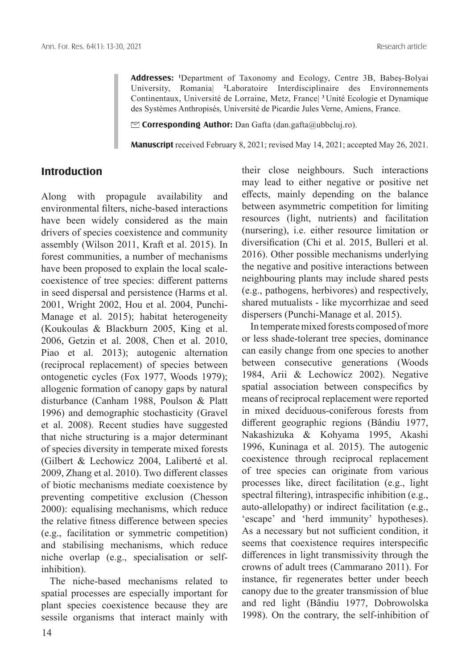**Addresses: <sup>1</sup>** Department of Taxonomy and Ecology, Centre 3B, Babeș-Bolyai University, Romania| **<sup>2</sup>** Laboratoire Interdisciplinaire des Environnements Continentaux, Université de Lorraine, Metz, France| **<sup>3</sup>**Unité Ecologie et Dynamique des Systèmes Anthropisés, Université de Picardie Jules Verne, Amiens, France.

@ **Corresponding Author:** Dan Gafta (dan.gafta@ubbcluj.ro).

**Manuscript** received February 8, 2021; revised May 14, 2021; accepted May 26, 2021.

## **Introduction**

Along with propagule availability and environmental filters, niche-based interactions have been widely considered as the main drivers of species coexistence and community assembly (Wilson 2011, Kraft et al. 2015). In forest communities, a number of mechanisms have been proposed to explain the local scalecoexistence of tree species: different patterns in seed dispersal and persistence (Harms et al. 2001, Wright 2002, Hou et al. 2004, Punchi-Manage et al. 2015); habitat heterogeneity (Koukoulas & Blackburn 2005, King et al. 2006, Getzin et al. 2008, Chen et al. 2010, Piao et al. 2013); autogenic alternation (reciprocal replacement) of species between ontogenetic cycles (Fox 1977, Woods 1979); allogenic formation of canopy gaps by natural disturbance (Canham 1988, Poulson & Platt 1996) and demographic stochasticity (Gravel et al. 2008). Recent studies have suggested that niche structuring is a major determinant of species diversity in temperate mixed forests (Gilbert & Lechowicz 2004, Laliberté et al. 2009, Zhang et al. 2010). Two different classes of biotic mechanisms mediate coexistence by preventing competitive exclusion (Chesson 2000): equalising mechanisms, which reduce the relative fitness difference between species (e.g., facilitation or symmetric competition) and stabilising mechanisms, which reduce niche overlap (e.g., specialisation or selfinhibition).

The niche-based mechanisms related to spatial processes are especially important for plant species coexistence because they are sessile organisms that interact mainly with their close neighbours. Such interactions may lead to either negative or positive net effects, mainly depending on the balance between asymmetric competition for limiting resources (light, nutrients) and facilitation (nursering), i.e. either resource limitation or diversification (Chi et al. 2015, Bulleri et al. 2016). Other possible mechanisms underlying the negative and positive interactions between neighbouring plants may include shared pests (e.g., pathogens, herbivores) and respectively, shared mutualists - like mycorrhizae and seed dispersers (Punchi-Manage et al. 2015).

In temperate mixed forests composed of more or less shade-tolerant tree species, dominance can easily change from one species to another between consecutive generations (Woods 1984, Arii & Lechowicz 2002). Negative spatial association between conspecifics by means of reciprocal replacement were reported in mixed deciduous-coniferous forests from different geographic regions (Bândiu 1977, Nakashizuka & Kohyama 1995, Akashi 1996, Kuninaga et al. 2015). The autogenic coexistence through reciprocal replacement of tree species can originate from various processes like, direct facilitation (e.g., light spectral filtering), intraspecific inhibition (e.g., auto-allelopathy) or indirect facilitation (e.g., 'escape' and 'herd immunity' hypotheses). As a necessary but not sufficient condition, it seems that coexistence requires interspecific differences in light transmissivity through the crowns of adult trees (Cammarano 2011). For instance, fir regenerates better under beech canopy due to the greater transmission of blue and red light (Bândiu 1977, Dobrowolska 1998). On the contrary, the self-inhibition of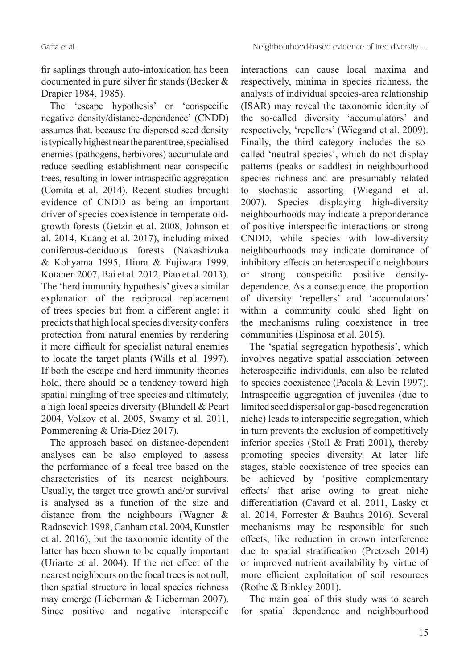fir saplings through auto-intoxication has been documented in pure silver fir stands (Becker & Drapier 1984, 1985).

The 'escape hypothesis' or 'conspecific negative density/distance-dependence' (CNDD) assumes that, because the dispersed seed density is typically highest near the parent tree, specialised enemies (pathogens, herbivores) accumulate and reduce seedling establishment near conspecific trees, resulting in lower intraspecific aggregation (Comita et al. 2014). Recent studies brought evidence of CNDD as being an important driver of species coexistence in temperate oldgrowth forests (Getzin et al. 2008, Johnson et al. 2014, Kuang et al. 2017), including mixed coniferous-deciduous forests (Nakashizuka & Kohyama 1995, Hiura & Fujiwara 1999, Kotanen 2007, Bai et al. 2012, Piao et al. 2013). The 'herd immunity hypothesis' gives a similar explanation of the reciprocal replacement of trees species but from a different angle: it predicts that high local species diversity confers protection from natural enemies by rendering it more difficult for specialist natural enemies to locate the target plants (Wills et al. 1997). If both the escape and herd immunity theories hold, there should be a tendency toward high spatial mingling of tree species and ultimately, a high local species diversity (Blundell & Peart 2004, Volkov et al. 2005, Swamy et al. 2011, Pommerening & Uria-Diez 2017).

The approach based on distance-dependent analyses can be also employed to assess the performance of a focal tree based on the characteristics of its nearest neighbours. Usually, the target tree growth and/or survival is analysed as a function of the size and distance from the neighbours (Wagner & Radosevich 1998, Canham et al. 2004, Kunstler et al. 2016), but the taxonomic identity of the latter has been shown to be equally important (Uriarte et al. 2004). If the net effect of the nearest neighbours on the focal trees is not null, then spatial structure in local species richness may emerge (Lieberman & Lieberman 2007). Since positive and negative interspecific

interactions can cause local maxima and respectively, minima in species richness, the analysis of individual species-area relationship (ISAR) may reveal the taxonomic identity of the so-called diversity 'accumulators' and respectively, 'repellers' (Wiegand et al. 2009). Finally, the third category includes the socalled 'neutral species', which do not display patterns (peaks or saddles) in neighbourhood species richness and are presumably related to stochastic assorting (Wiegand et al. 2007). Species displaying high-diversity neighbourhoods may indicate a preponderance of positive interspecific interactions or strong CNDD, while species with low-diversity neighbourhoods may indicate dominance of inhibitory effects on heterospecific neighbours or strong conspecific positive densitydependence. As a consequence, the proportion of diversity 'repellers' and 'accumulators' within a community could shed light on the mechanisms ruling coexistence in tree communities (Espinosa et al. 2015).

The 'spatial segregation hypothesis', which involves negative spatial association between heterospecific individuals, can also be related to species coexistence (Pacala & Levin 1997). Intraspecific aggregation of juveniles (due to limited seed dispersal or gap-based regeneration niche) leads to interspecific segregation, which in turn prevents the exclusion of competitively inferior species (Stoll & Prati 2001), thereby promoting species diversity. At later life stages, stable coexistence of tree species can be achieved by 'positive complementary effects' that arise owing to great niche differentiation (Cavard et al. 2011, Lasky et al. 2014, Forrester & Bauhus 2016). Several mechanisms may be responsible for such effects, like reduction in crown interference due to spatial stratification (Pretzsch 2014) or improved nutrient availability by virtue of more efficient exploitation of soil resources (Rothe & Binkley 2001).

The main goal of this study was to search for spatial dependence and neighbourhood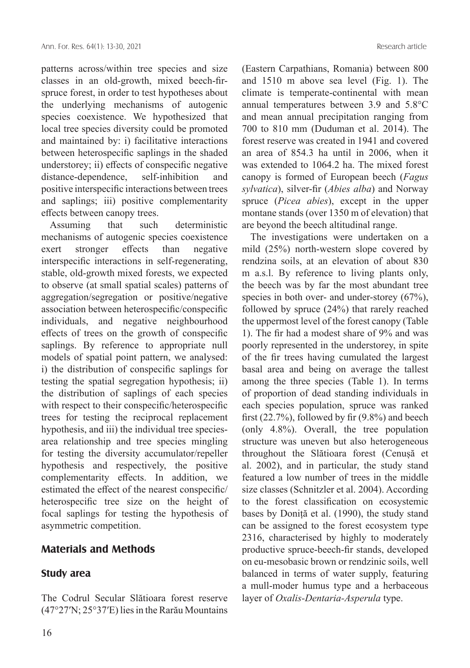patterns across/within tree species and size classes in an old-growth, mixed beech-firspruce forest, in order to test hypotheses about the underlying mechanisms of autogenic species coexistence. We hypothesized that local tree species diversity could be promoted and maintained by: i) facilitative interactions between heterospecific saplings in the shaded understorey; ii) effects of conspecific negative distance-dependence, self-inhibition and positive interspecific interactions between trees and saplings; iii) positive complementarity effects between canopy trees.

Assuming that such deterministic mechanisms of autogenic species coexistence exert stronger effects than negative interspecific interactions in self-regenerating, stable, old-growth mixed forests, we expected to observe (at small spatial scales) patterns of aggregation/segregation or positive/negative association between heterospecific/conspecific individuals, and negative neighbourhood effects of trees on the growth of conspecific saplings. By reference to appropriate null models of spatial point pattern, we analysed: i) the distribution of conspecific saplings for testing the spatial segregation hypothesis; ii) the distribution of saplings of each species with respect to their conspecific/heterospecific trees for testing the reciprocal replacement hypothesis, and iii) the individual tree speciesarea relationship and tree species mingling for testing the diversity accumulator/repeller hypothesis and respectively, the positive complementarity effects. In addition, we estimated the effect of the nearest conspecific/ heterospecific tree size on the height of focal saplings for testing the hypothesis of asymmetric competition.

## **Materials and Methods**

## **Study area**

The Codrul Secular Slătioara forest reserve (47°27′N; 25°37′E) lies in the Rarău Mountains (Eastern Carpathians, Romania) between 800 and 1510 m above sea level (Fig. 1). The climate is temperate-continental with mean annual temperatures between 3.9 and 5.8°C and mean annual precipitation ranging from 700 to 810 mm (Duduman et al. 2014). The forest reserve was created in 1941 and covered an area of 854.3 ha until in 2006, when it was extended to 1064.2 ha. The mixed forest canopy is formed of European beech (*Fagus sylvatica*), silver-fir (*Abies alba*) and Norway spruce (*Picea abies*), except in the upper montane stands (over 1350 m of elevation) that are beyond the beech altitudinal range.

The investigations were undertaken on a mild (25%) north-western slope covered by rendzina soils, at an elevation of about 830 m a.s.l. By reference to living plants only, the beech was by far the most abundant tree species in both over- and under-storey (67%), followed by spruce (24%) that rarely reached the uppermost level of the forest canopy (Table 1). The fir had a modest share of 9% and was poorly represented in the understorey, in spite of the fir trees having cumulated the largest basal area and being on average the tallest among the three species (Table 1). In terms of proportion of dead standing individuals in each species population, spruce was ranked first (22.7%), followed by fir (9.8%) and beech (only 4.8%). Overall, the tree population structure was uneven but also heterogeneous throughout the Slătioara forest (Cenușă et al. 2002), and in particular, the study stand featured a low number of trees in the middle size classes (Schnitzler et al. 2004). According to the forest classification on ecosystemic bases by Doniță et al. (1990), the study stand can be assigned to the forest ecosystem type 2316, characterised by highly to moderately productive spruce-beech-fir stands, developed on eu-mesobasic brown or rendzinic soils, well balanced in terms of water supply, featuring a mull-moder humus type and a herbaceous layer of *Oxalis-Dentaria-Asperula* type.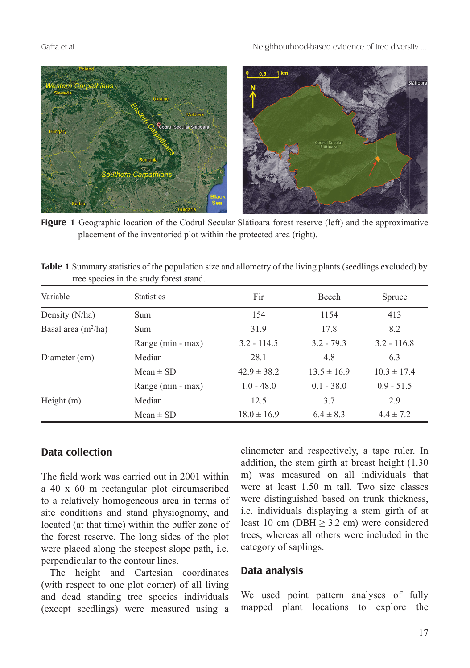

**Figure 1** Geographic location of the Codrul Secular Slătioara forest reserve (left) and the approximative placement of the inventoried plot within the protected area (right).

| Table 1 Summary statistics of the population size and allometry of the living plants (seedlings excluded) by |  |  |
|--------------------------------------------------------------------------------------------------------------|--|--|
| tree species in the study forest stand.                                                                      |  |  |

| Variable              | <b>Statistics</b> | Fir             | <b>Beech</b>    | Spruce          |
|-----------------------|-------------------|-----------------|-----------------|-----------------|
| Density (N/ha)        | <b>Sum</b>        | 154             | 1154            | 413             |
| Basal area $(m^2/ha)$ | Sum               | 31.9            | 17.8            | 8.2             |
|                       | Range (min - max) | $3.2 - 114.5$   | $3.2 - 79.3$    | $3.2 - 116.8$   |
| Diameter (cm)         | Median            | 28.1            | 4.8             | 6.3             |
|                       | Mean $\pm$ SD     | $42.9 \pm 38.2$ | $13.5 \pm 16.9$ | $10.3 \pm 17.4$ |
|                       | Range (min - max) | $1.0 - 48.0$    | $0.1 - 38.0$    | $0.9 - 51.5$    |
| Height $(m)$          | Median            | 12.5            | 3.7             | 2.9             |
|                       | Mean $\pm$ SD     | $18.0 \pm 16.9$ | $6.4 \pm 8.3$   | $4.4 \pm 7.2$   |

## **Data collection**

The field work was carried out in 2001 within a 40 x 60 m rectangular plot circumscribed to a relatively homogeneous area in terms of site conditions and stand physiognomy, and located (at that time) within the buffer zone of the forest reserve. The long sides of the plot were placed along the steepest slope path, i.e. perpendicular to the contour lines.

The height and Cartesian coordinates (with respect to one plot corner) of all living and dead standing tree species individuals (except seedlings) were measured using a

clinometer and respectively, a tape ruler. In addition, the stem girth at breast height (1.30 m) was measured on all individuals that were at least 1.50 m tall. Two size classes were distinguished based on trunk thickness, i.e. individuals displaying a stem girth of at least 10 cm (DBH  $> 3.2$  cm) were considered trees, whereas all others were included in the category of saplings.

#### **Data analysis**

We used point pattern analyses of fully mapped plant locations to explore the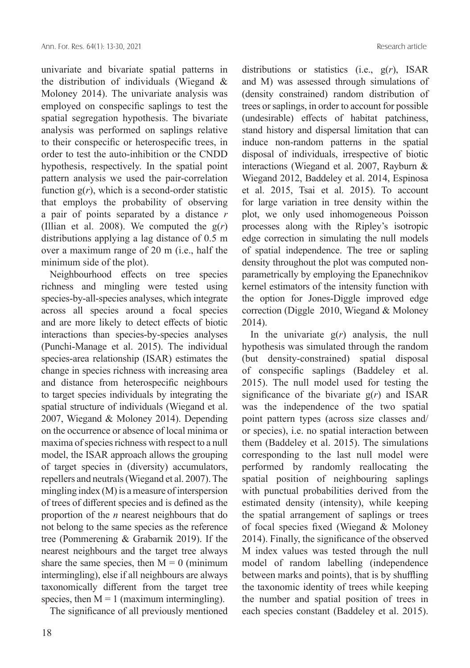univariate and bivariate spatial patterns in the distribution of individuals (Wiegand & Moloney 2014). The univariate analysis was employed on conspecific saplings to test the spatial segregation hypothesis. The bivariate analysis was performed on saplings relative to their conspecific or heterospecific trees, in order to test the auto-inhibition or the CNDD hypothesis, respectively. In the spatial point pattern analysis we used the pair-correlation function  $g(r)$ , which is a second-order statistic that employs the probability of observing a pair of points separated by a distance *r*  (Illian et al. 2008). We computed the  $g(r)$ distributions applying a lag distance of 0.5 m over a maximum range of 20 m (i.e., half the minimum side of the plot).

Neighbourhood effects on tree species richness and mingling were tested using species-by-all-species analyses, which integrate across all species around a focal species and are more likely to detect effects of biotic interactions than species-by-species analyses (Punchi-Manage et al. 2015). The individual species-area relationship (ISAR) estimates the change in species richness with increasing area and distance from heterospecific neighbours to target species individuals by integrating the spatial structure of individuals (Wiegand et al. 2007, Wiegand & Moloney 2014). Depending on the occurrence or absence of local minima or maxima of species richness with respect to a null model, the ISAR approach allows the grouping of target species in (diversity) accumulators, repellers and neutrals (Wiegand et al. 2007). The mingling index (M) is a measure of interspersion of trees of different species and is defined as the proportion of the *n* nearest neighbours that do not belong to the same species as the reference tree (Pommerening & Grabarnik 2019). If the nearest neighbours and the target tree always share the same species, then  $M = 0$  (minimum intermingling), else if all neighbours are always taxonomically different from the target tree species, then  $M = 1$  (maximum intermingling).

The significance of all previously mentioned

distributions or statistics (i.e., g(*r*), ISAR and M) was assessed through simulations of (density constrained) random distribution of trees or saplings, in order to account for possible (undesirable) effects of habitat patchiness, stand history and dispersal limitation that can induce non-random patterns in the spatial disposal of individuals, irrespective of biotic interactions (Wiegand et al. 2007, Rayburn & Wiegand 2012, Baddeley et al. 2014, Espinosa et al. 2015, Tsai et al. 2015). To account for large variation in tree density within the plot, we only used inhomogeneous Poisson processes along with the Ripley's isotropic edge correction in simulating the null models of spatial independence. The tree or sapling density throughout the plot was computed nonparametrically by employing the Epanechnikov kernel estimators of the intensity function with the option for Jones-Diggle improved edge correction (Diggle 2010, Wiegand & Moloney 2014).

In the univariate  $g(r)$  analysis, the null hypothesis was simulated through the random (but density-constrained) spatial disposal of conspecific saplings (Baddeley et al. 2015). The null model used for testing the significance of the bivariate  $g(r)$  and ISAR was the independence of the two spatial point pattern types (across size classes and/ or species), i.e. no spatial interaction between them (Baddeley et al. 2015). The simulations corresponding to the last null model were performed by randomly reallocating the spatial position of neighbouring saplings with punctual probabilities derived from the estimated density (intensity), while keeping the spatial arrangement of saplings or trees of focal species fixed (Wiegand & Moloney 2014). Finally, the significance of the observed M index values was tested through the null model of random labelling (independence between marks and points), that is by shuffling the taxonomic identity of trees while keeping the number and spatial position of trees in each species constant (Baddeley et al. 2015).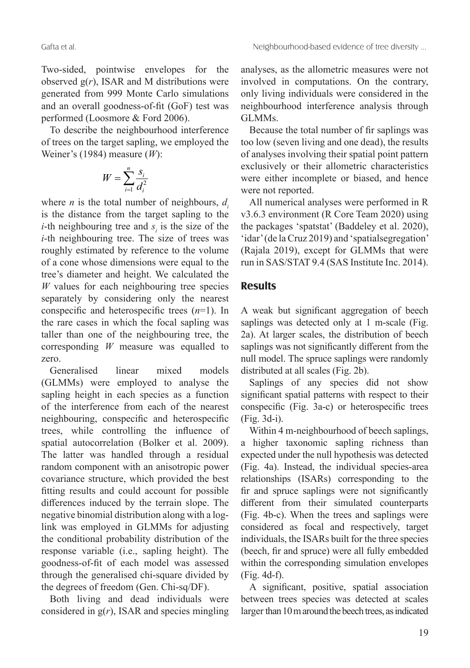Two-sided, pointwise envelopes for the observed  $g(r)$ , ISAR and M distributions were generated from 999 Monte Carlo simulations and an overall goodness-of-fit (GoF) test was performed (Loosmore & Ford 2006).

To describe the neighbourhood interference of trees on the target sapling, we employed the Weiner's (1984) measure (*W*):

$$
W = \sum_{i=1}^{n} \frac{S_i}{d_i^2}
$$

where *n* is the total number of neighbours,  $d_i$ is the distance from the target sapling to the *i*-th neighbouring tree and  $s_i$  is the size of the *i*-th neighbouring tree. The size of trees was roughly estimated by reference to the volume of a cone whose dimensions were equal to the tree's diameter and height. We calculated the *W* values for each neighbouring tree species separately by considering only the nearest conspecific and heterospecific trees (*n*=1). In the rare cases in which the focal sapling was taller than one of the neighbouring tree, the corresponding *W* measure was equalled to zero.

Generalised linear mixed models (GLMMs) were employed to analyse the sapling height in each species as a function of the interference from each of the nearest neighbouring, conspecific and heterospecific trees, while controlling the influence of spatial autocorrelation (Bolker et al. 2009). The latter was handled through a residual random component with an anisotropic power covariance structure, which provided the best fitting results and could account for possible differences induced by the terrain slope. The negative binomial distribution along with a loglink was employed in GLMMs for adjusting the conditional probability distribution of the response variable (i.e., sapling height). The goodness-of-fit of each model was assessed through the generalised chi-square divided by the degrees of freedom (Gen. Chi-sq/DF).

Both living and dead individuals were considered in g(*r*), ISAR and species mingling analyses, as the allometric measures were not involved in computations. On the contrary, only living individuals were considered in the neighbourhood interference analysis through GLMMs.

Because the total number of fir saplings was too low (seven living and one dead), the results of analyses involving their spatial point pattern exclusively or their allometric characteristics were either incomplete or biased, and hence were not reported.

All numerical analyses were performed in R v3.6.3 environment (R Core Team 2020) using the packages 'spatstat' (Baddeley et al. 2020), 'idar' (de la Cruz 2019) and 'spatialsegregation' (Rajala 2019), except for GLMMs that were run in SAS/STAT 9.4 (SAS Institute Inc. 2014).

# **Results**

A weak but significant aggregation of beech saplings was detected only at 1 m-scale (Fig. 2a). At larger scales, the distribution of beech saplings was not significantly different from the null model. The spruce saplings were randomly distributed at all scales (Fig. 2b).

Saplings of any species did not show significant spatial patterns with respect to their conspecific (Fig. 3a-c) or heterospecific trees (Fig. 3d-i).

Within 4 m-neighbourhood of beech saplings, a higher taxonomic sapling richness than expected under the null hypothesis was detected (Fig. 4a). Instead, the individual species-area relationships (ISARs) corresponding to the fir and spruce saplings were not significantly different from their simulated counterparts (Fig. 4b-c). When the trees and saplings were considered as focal and respectively, target individuals, the ISARs built for the three species (beech, fir and spruce) were all fully embedded within the corresponding simulation envelopes (Fig. 4d-f).

A significant, positive, spatial association between trees species was detected at scales larger than 10 m around the beech trees, as indicated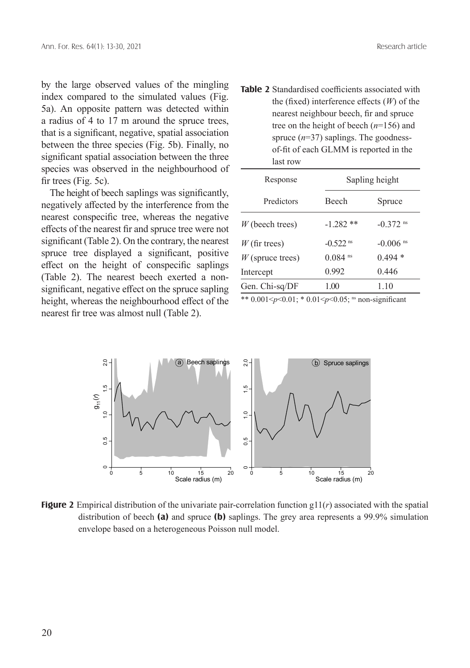by the large observed values of the mingling index compared to the simulated values (Fig. 5a). An opposite pattern was detected within a radius of 4 to 17 m around the spruce trees, that is a significant, negative, spatial association between the three species (Fig. 5b). Finally, no significant spatial association between the three species was observed in the neighbourhood of fir trees (Fig. 5c).

The height of beech saplings was significantly, negatively affected by the interference from the nearest conspecific tree, whereas the negative effects of the nearest fir and spruce tree were not significant (Table 2). On the contrary, the nearest spruce tree displayed a significant, positive effect on the height of conspecific saplings (Table 2). The nearest beech exerted a nonsignificant, negative effect on the spruce sapling height, whereas the neighbourhood effect of the nearest fir tree was almost null (Table 2).

**Table 2** Standardised coefficients associated with the (fixed) interference effects (*W*) of the nearest neighbour beech, fir and spruce tree on the height of beech (*n*=156) and spruce (*n*=37) saplings. The goodnessof-fit of each GLMM is reported in the last row

| Response           |                        | Sapling height         |  |  |
|--------------------|------------------------|------------------------|--|--|
| Predictors         | <b>Beech</b>           | Spruce                 |  |  |
| $W$ (beech trees)  | $-1.282**$             | $-0.372$ <sup>ns</sup> |  |  |
| $W$ (fir trees)    | $-0.522$ <sup>ns</sup> | $-0.006$ <sup>ns</sup> |  |  |
| $W$ (spruce trees) | $0.084$ <sup>ns</sup>  | $0.494*$               |  |  |
| Intercept          | 0.992                  | 0.446                  |  |  |
| Gen. Chi-sq/DF     | 1.00                   | 1.10                   |  |  |

\*\*  $0.001$  <p < 0.01; \* 0.01 <p < 0.05; <sup>ns</sup> non-significant



**Figure 2** Empirical distribution of the univariate pair-correlation function g11(*r*) associated with the spatial distribution of beech **(a)** and spruce **(b)** saplings. The grey area represents a 99.9% simulation envelope based on a heterogeneous Poisson null model.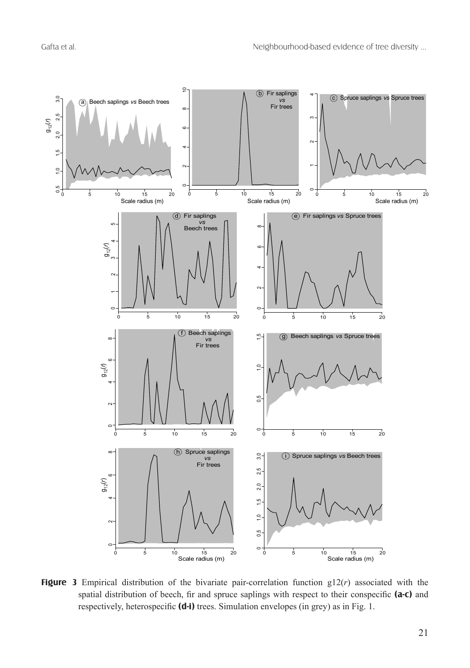

**Figure 3** Empirical distribution of the bivariate pair-correlation function g12(*r*) associated with the spatial distribution of beech, fir and spruce saplings with respect to their conspecific **(a-c)** and respectively, heterospecific **(d-i)** trees. Simulation envelopes (in grey) as in Fig. 1.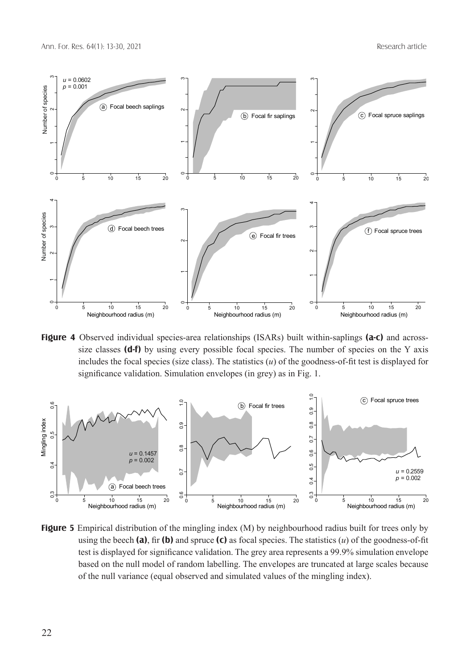

**Figure 4** Observed individual species-area relationships (ISARs) built within-saplings **(a-c)** and acrosssize classes **(d-f)** by using every possible focal species. The number of species on the Y axis includes the focal species (size class). The statistics (*u*) of the goodness-of-fit test is displayed for significance validation. Simulation envelopes (in grey) as in Fig. 1.



**Figure 5** Empirical distribution of the mingling index (M) by neighbourhood radius built for trees only by using the beech **(a)**, fir **(b)** and spruce **(c)** as focal species. The statistics  $(u)$  of the goodness-of-fit test is displayed for significance validation. The grey area represents a 99.9% simulation envelope based on the null model of random labelling. The envelopes are truncated at large scales because of the null variance (equal observed and simulated values of the mingling index).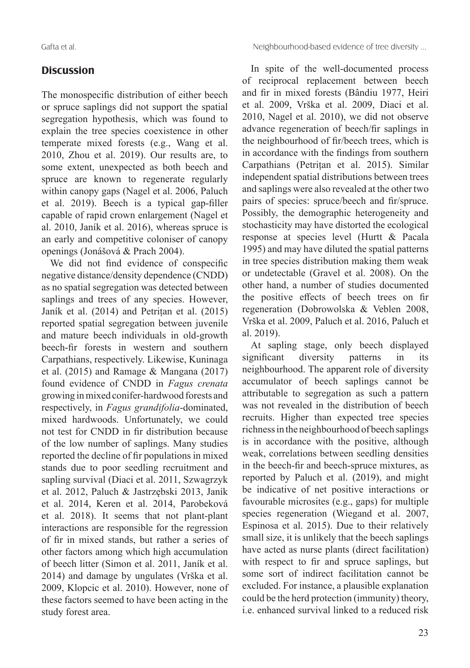# **Discussion**

The monospecific distribution of either beech or spruce saplings did not support the spatial segregation hypothesis, which was found to explain the tree species coexistence in other temperate mixed forests (e.g., Wang et al. 2010, Zhou et al. 2019). Our results are, to some extent, unexpected as both beech and spruce are known to regenerate regularly within canopy gaps (Nagel et al. 2006, Paluch et al. 2019). Beech is a typical gap-filler capable of rapid crown enlargement (Nagel et al. 2010, Janík et al. 2016), whereas spruce is an early and competitive coloniser of canopy openings (Jonášová & Prach 2004).

We did not find evidence of conspecific negative distance/density dependence (CNDD) as no spatial segregation was detected between saplings and trees of any species. However, Janík et al. (2014) and Petrițan et al. (2015) reported spatial segregation between juvenile and mature beech individuals in old-growth beech-fir forests in western and southern Carpathians, respectively. Likewise, Kuninaga et al. (2015) and Ramage & Mangana (2017) found evidence of CNDD in *Fagus crenata* growing in mixed conifer-hardwood forests and respectively, in *Fagus grandifolia*-dominated, mixed hardwoods. Unfortunately, we could not test for CNDD in fir distribution because of the low number of saplings. Many studies reported the decline of fir populations in mixed stands due to poor seedling recruitment and sapling survival (Diaci et al. 2011, Szwagrzyk et al. 2012, Paluch & Jastrzębski 2013, Janík et al. 2014, Keren et al. 2014, Parobeková et al. 2018). It seems that not plant-plant interactions are responsible for the regression of fir in mixed stands, but rather a series of other factors among which high accumulation of beech litter (Simon et al. 2011, Janík et al. 2014) and damage by ungulates (Vrška et al. 2009, Klopcic et al. 2010). However, none of these factors seemed to have been acting in the study forest area.

In spite of the well-documented process of reciprocal replacement between beech and fir in mixed forests (Bândiu 1977, Heiri et al. 2009, Vrška et al. 2009, Diaci et al. 2010, Nagel et al. 2010), we did not observe advance regeneration of beech/fir saplings in the neighbourhood of fir/beech trees, which is in accordance with the findings from southern Carpathians (Petrițan et al. 2015). Similar independent spatial distributions between trees and saplings were also revealed at the other two pairs of species: spruce/beech and fir/spruce. Possibly, the demographic heterogeneity and stochasticity may have distorted the ecological response at species level (Hurtt & Pacala 1995) and may have diluted the spatial patterns in tree species distribution making them weak or undetectable (Gravel et al. 2008). On the other hand, a number of studies documented the positive effects of beech trees on fir regeneration (Dobrowolska & Veblen 2008, Vrška et al. 2009, Paluch et al. 2016, Paluch et al. 2019).

At sapling stage, only beech displayed significant diversity patterns in its neighbourhood. The apparent role of diversity accumulator of beech saplings cannot be attributable to segregation as such a pattern was not revealed in the distribution of beech recruits. Higher than expected tree species richness in the neighbourhood of beech saplings is in accordance with the positive, although weak, correlations between seedling densities in the beech-fir and beech-spruce mixtures, as reported by Paluch et al. (2019), and might be indicative of net positive interactions or favourable microsites (e.g., gaps) for multiple species regeneration (Wiegand et al. 2007, Espinosa et al. 2015). Due to their relatively small size, it is unlikely that the beech saplings have acted as nurse plants (direct facilitation) with respect to fir and spruce saplings, but some sort of indirect facilitation cannot be excluded. For instance, a plausible explanation could be the herd protection (immunity) theory, i.e. enhanced survival linked to a reduced risk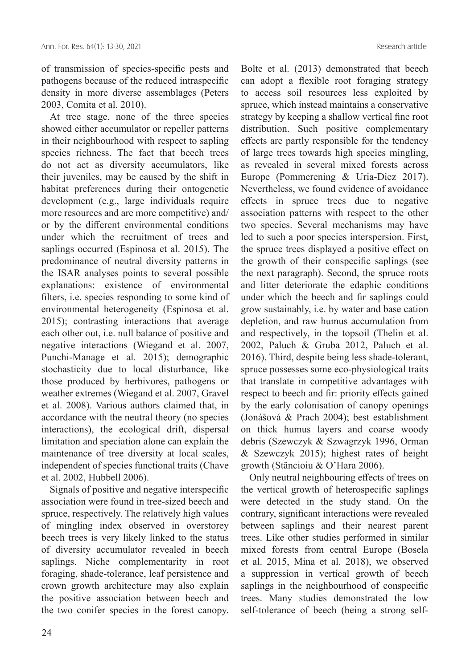of transmission of species-specific pests and pathogens because of the reduced intraspecific density in more diverse assemblages (Peters 2003, Comita et al. 2010).

At tree stage, none of the three species showed either accumulator or repeller patterns in their neighbourhood with respect to sapling species richness. The fact that beech trees do not act as diversity accumulators, like their juveniles, may be caused by the shift in habitat preferences during their ontogenetic development (e.g., large individuals require more resources and are more competitive) and/ or by the different environmental conditions under which the recruitment of trees and saplings occurred (Espinosa et al. 2015). The predominance of neutral diversity patterns in the ISAR analyses points to several possible explanations: existence of environmental filters, i.e. species responding to some kind of environmental heterogeneity (Espinosa et al. 2015); contrasting interactions that average each other out, i.e. null balance of positive and negative interactions (Wiegand et al. 2007, Punchi-Manage et al. 2015); demographic stochasticity due to local disturbance, like those produced by herbivores, pathogens or weather extremes (Wiegand et al. 2007, Gravel et al. 2008). Various authors claimed that, in accordance with the neutral theory (no species interactions), the ecological drift, dispersal limitation and speciation alone can explain the maintenance of tree diversity at local scales, independent of species functional traits (Chave et al. 2002, Hubbell 2006).

Signals of positive and negative interspecific association were found in tree-sized beech and spruce, respectively. The relatively high values of mingling index observed in overstorey beech trees is very likely linked to the status of diversity accumulator revealed in beech saplings. Niche complementarity in root foraging, shade-tolerance, leaf persistence and crown growth architecture may also explain the positive association between beech and the two conifer species in the forest canopy. Bolte et al. (2013) demonstrated that beech can adopt a flexible root foraging strategy to access soil resources less exploited by spruce, which instead maintains a conservative strategy by keeping a shallow vertical fine root distribution. Such positive complementary effects are partly responsible for the tendency of large trees towards high species mingling, as revealed in several mixed forests across Europe (Pommerening & Uria-Diez 2017). Nevertheless, we found evidence of avoidance effects in spruce trees due to negative association patterns with respect to the other two species. Several mechanisms may have led to such a poor species interspersion. First, the spruce trees displayed a positive effect on the growth of their conspecific saplings (see the next paragraph). Second, the spruce roots and litter deteriorate the edaphic conditions under which the beech and fir saplings could grow sustainably, i.e. by water and base cation depletion, and raw humus accumulation from and respectively, in the topsoil (Thelin et al. 2002, Paluch & Gruba 2012, Paluch et al. 2016). Third, despite being less shade-tolerant, spruce possesses some eco-physiological traits that translate in competitive advantages with respect to beech and fir: priority effects gained by the early colonisation of canopy openings (Jonášová & Prach 2004); best establishment on thick humus layers and coarse woody debris (Szewczyk & Szwagrzyk 1996, Orman & Szewczyk 2015); highest rates of height growth (Stăncioiu & O'Hara 2006).

Only neutral neighbouring effects of trees on the vertical growth of heterospecific saplings were detected in the study stand. On the contrary, significant interactions were revealed between saplings and their nearest parent trees. Like other studies performed in similar mixed forests from central Europe (Bosela et al. 2015, Mina et al. 2018), we observed a suppression in vertical growth of beech saplings in the neighbourhood of conspecific trees. Many studies demonstrated the low self-tolerance of beech (being a strong self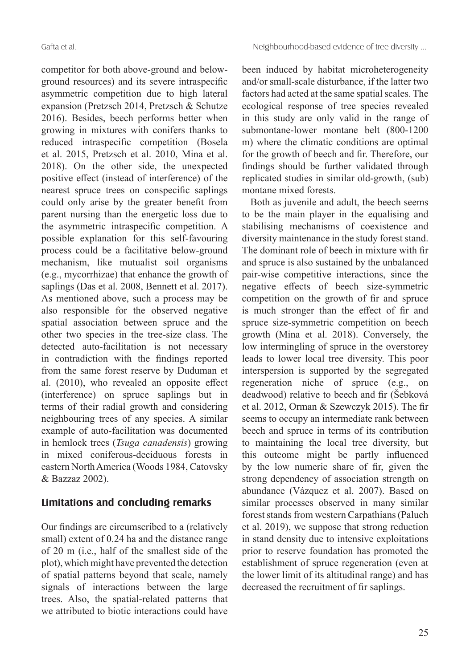competitor for both above-ground and belowground resources) and its severe intraspecific asymmetric competition due to high lateral expansion (Pretzsch 2014, Pretzsch & Schutze 2016). Besides, beech performs better when growing in mixtures with conifers thanks to reduced intraspecific competition (Bosela et al. 2015, Pretzsch et al. 2010, Mina et al. 2018). On the other side, the unexpected positive effect (instead of interference) of the nearest spruce trees on conspecific saplings could only arise by the greater benefit from parent nursing than the energetic loss due to the asymmetric intraspecific competition. A possible explanation for this self-favouring process could be a facilitative below-ground mechanism, like mutualist soil organisms (e.g., mycorrhizae) that enhance the growth of saplings (Das et al. 2008, Bennett et al. 2017). As mentioned above, such a process may be also responsible for the observed negative spatial association between spruce and the other two species in the tree-size class. The detected auto-facilitation is not necessary in contradiction with the findings reported from the same forest reserve by Duduman et al. (2010), who revealed an opposite effect (interference) on spruce saplings but in terms of their radial growth and considering neighbouring trees of any species. A similar example of auto-facilitation was documented in hemlock trees (*Tsuga canadensis*) growing in mixed coniferous-deciduous forests in eastern North America (Woods 1984, Catovsky & Bazzaz 2002).

# **Limitations and concluding remarks**

Our findings are circumscribed to a (relatively small) extent of 0.24 ha and the distance range of 20 m (i.e., half of the smallest side of the plot), which might have prevented the detection of spatial patterns beyond that scale, namely signals of interactions between the large trees. Also, the spatial-related patterns that we attributed to biotic interactions could have been induced by habitat microheterogeneity and/or small-scale disturbance, if the latter two factors had acted at the same spatial scales. The ecological response of tree species revealed in this study are only valid in the range of submontane-lower montane belt (800-1200 m) where the climatic conditions are optimal for the growth of beech and fir. Therefore, our findings should be further validated through replicated studies in similar old-growth, (sub) montane mixed forests.

Both as juvenile and adult, the beech seems to be the main player in the equalising and stabilising mechanisms of coexistence and diversity maintenance in the study forest stand. The dominant role of beech in mixture with fir and spruce is also sustained by the unbalanced pair-wise competitive interactions, since the negative effects of beech size-symmetric competition on the growth of fir and spruce is much stronger than the effect of fir and spruce size-symmetric competition on beech growth (Mina et al. 2018). Conversely, the low intermingling of spruce in the overstorey leads to lower local tree diversity. This poor interspersion is supported by the segregated regeneration niche of spruce (e.g., on deadwood) relative to beech and fir (Šebková et al. 2012, Orman & Szewczyk 2015). The fir seems to occupy an intermediate rank between beech and spruce in terms of its contribution to maintaining the local tree diversity, but this outcome might be partly influenced by the low numeric share of fir, given the strong dependency of association strength on abundance (Vázquez et al. 2007). Based on similar processes observed in many similar forest stands from western Carpathians (Paluch et al. 2019), we suppose that strong reduction in stand density due to intensive exploitations prior to reserve foundation has promoted the establishment of spruce regeneration (even at the lower limit of its altitudinal range) and has decreased the recruitment of fir saplings.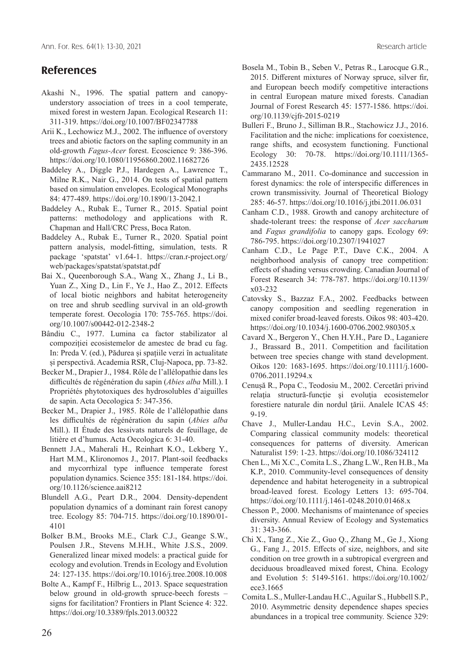## **References**

- Akashi N., 1996. The spatial pattern and canopyunderstory association of trees in a cool temperate, mixed forest in western Japan. Ecological Research 11: 311-319. https://doi.org/10.1007/BF02347788
- Arii K., Lechowicz M.J., 2002. The influence of overstory trees and abiotic factors on the sapling community in an old-growth *Fagus-Acer* forest. Ecoscience 9: 386-396. https://doi.org/10.1080/11956860.2002.11682726
- Baddeley A., Diggle P.J., Hardegen A., Lawrence T., Milne R.K., Nair G., 2014. On tests of spatial pattern based on simulation envelopes. Ecological Monographs 84: 477-489. https://doi.org/10.1890/13-2042.1
- Baddeley A., Rubak E., Turner R., 2015. Spatial point patterns: methodology and applications with R. Chapman and Hall/CRC Press, Boca Raton.
- Baddeley A., Rubak E., Turner R., 2020. Spatial point pattern analysis, model-fitting, simulation, tests. R package 'spatstat' v1.64-1. https://cran.r-project.org/ web/packages/spatstat/spatstat.pdf
- Bai X., Queenborough S.A., Wang X., Zhang J., Li B., Yuan Z., Xing D., Lin F., Ye J., Hao Z., 2012. Effects of local biotic neighbors and habitat heterogeneity on tree and shrub seedling survival in an old-growth temperate forest. Oecologia 170: 755-765. https://doi. org/10.1007/s00442-012-2348-2
- Bândiu C., 1977. Lumina ca factor stabilizator al compoziției ecosistemelor de amestec de brad cu fag. In: Preda V. (ed.), Pădurea și spațiile verzi în actualitate și perspectivă. Academia RSR, Cluj-Napoca, pp. 73-82.
- Becker M., Drapier J., 1984. Rôle de l'allélopathie dans les difficultés de régénération du sapin (*Abies alba* Mill.). I Propriétés phytotoxiques des hydrosolubles d'aiguilles de sapin. Acta Oecologica 5: 347-356.
- Becker M., Drapier J., 1985. Rôle de l'allélopathie dans les difficultés de régénération du sapin (*Abies alba*  Mill.). II Étude des lessivats naturels de feuillage, de litière et d'humus. Acta Oecologica 6: 31-40.
- Bennett J.A., Maherali H., Reinhart K.O., Lekberg Y., Hart M.M., Klironomos J., 2017. Plant-soil feedbacks and mycorrhizal type influence temperate forest population dynamics. Science 355: 181-184. https://doi. org/10.1126/science.aai8212
- Blundell A.G., Peart D.R., 2004. Density-dependent population dynamics of a dominant rain forest canopy tree. Ecology 85: 704-715. https://doi.org/10.1890/01- 4101
- Bolker B.M., Brooks M.E., Clark C.J., Geange S.W., Poulsen J.R., Stevens M.H.H., White J.S.S., 2009. Generalized linear mixed models: a practical guide for ecology and evolution. Trends in Ecology and Evolution 24: 127-135. https://doi.org/10.1016/j.tree.2008.10.008
- Bolte A., Kampf F., Hilbrig L., 2013. Space sequestration below ground in old-growth spruce-beech forests – signs for facilitation? Frontiers in Plant Science 4: 322. https://doi.org/10.3389/fpls.2013.00322
- Bosela M., Tobin B., Seben V., Petras R., Larocque G.R., 2015. Different mixtures of Norway spruce, silver fir, and European beech modify competitive interactions in central European mature mixed forests. Canadian Journal of Forest Research 45: 1577-1586. https://doi. org/10.1139/cjfr-2015-0219
- Bulleri F., Bruno J., Silliman B.R., Stachowicz J.J., 2016. Facilitation and the niche: implications for coexistence, range shifts, and ecosystem functioning. Functional Ecology 30: 70-78. https://doi.org/10.1111/1365- 2435.12528
- Cammarano M., 2011. Co-dominance and succession in forest dynamics: the role of interspecific differences in crown transmissivity. Journal of Theoretical Biology 285: 46-57. https://doi.org/10.1016/j.jtbi.2011.06.031
- Canham C.D., 1988. Growth and canopy architecture of shade-tolerant trees: the response of *Acer saccharum* and *Fagus grandifolia* to canopy gaps. Ecology 69: 786-795. https://doi.org/10.2307/1941027
- Canham C.D., Le Page P.T., Dave C.K., 2004. A neighborhood analysis of canopy tree competition: effects of shading versus crowding. Canadian Journal of Forest Research 34: 778-787. https://doi.org/10.1139/ x03-232
- Catovsky S., Bazzaz F.A., 2002. Feedbacks between canopy composition and seedling regeneration in mixed conifer broad-leaved forests. Oikos 98: 403-420. https://doi.org/10.1034/j.1600-0706.2002.980305.x
- Cavard X., Bergeron Y., Chen H.Y.H., Pare D., Laganiere J., Brassard B., 2011. Competition and facilitation between tree species change with stand development. Oikos 120: 1683-1695. https://doi.org/10.1111/j.1600- 0706.2011.19294.x
- Cenușă R., Popa C., Teodosiu M., 2002. Cercetări privind relaţia structură-funcţie şi evoluţia ecosistemelor forestiere naturale din nordul ţării. Analele ICAS 45: 9-19.
- Chave J., Muller-Landau H.C., Levin S.A., 2002. Comparing classical community models: theoretical consequences for patterns of diversity. American Naturalist 159: 1-23. https://doi.org/10.1086/324112
- Chen L., Mi X.C., Comita L.S., Zhang L.W., Ren H.B., Ma K.P., 2010. Community-level consequences of density dependence and habitat heterogeneity in a subtropical broad-leaved forest. Ecology Letters 13: 695-704. https://doi.org/10.1111/j.1461-0248.2010.01468.x
- Chesson P., 2000. Mechanisms of maintenance of species diversity. Annual Review of Ecology and Systematics 31: 343-366.
- Chi X., Tang Z., Xie Z., Guo Q., Zhang M., Ge J., Xiong G., Fang J., 2015. Effects of size, neighbors, and site condition on tree growth in a subtropical evergreen and deciduous broadleaved mixed forest, China. Ecology and Evolution 5: 5149-5161. https://doi.org/10.1002/ ece3.1665
- Comita L.S., Muller-Landau H.C., Aguilar S., Hubbell S.P., 2010. Asymmetric density dependence shapes species abundances in a tropical tree community. Science 329: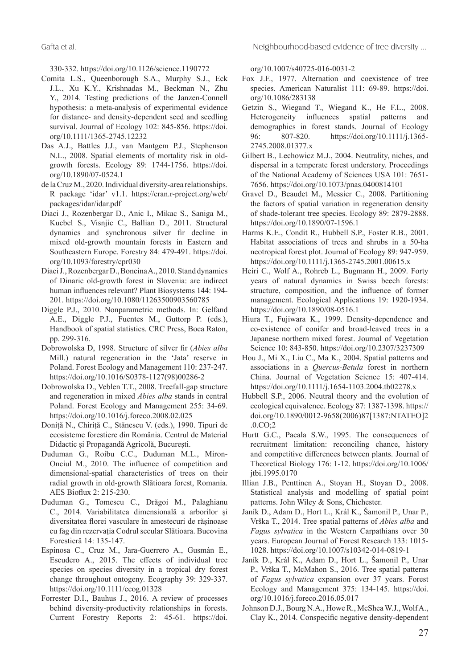Gafta et al. Neighbourhood-based evidence of tree diversity ...

330-332. https://doi.org/10.1126/science.1190772

- Comita L.S., Queenborough S.A., Murphy S.J., Eck J.L., Xu K.Y., Krishnadas M., Beckman N., Zhu Y., 2014. Testing predictions of the Janzen-Connell hypothesis: a meta-analysis of experimental evidence for distance- and density-dependent seed and seedling survival. Journal of Ecology 102: 845-856. https://doi. org/10.1111/1365-2745.12232
- Das A.J., Battles J.J., van Mantgem P.J., Stephenson N.L., 2008. Spatial elements of mortality risk in oldgrowth forests. Ecology 89: 1744-1756. https://doi. org/10.1890/07-0524.1
- de la Cruz M., 2020. Individual diversity-area relationships. R package 'idar' v1.1. https://cran.r-project.org/web/ packages/idar/idar.pdf
- Diaci J., Rozenbergar D., Anic I., Mikac S., Saniga M., Kucbel S., Visnjic C., Ballian D., 2011. Structural dynamics and synchronous silver fir decline in mixed old-growth mountain forests in Eastern and Southeastern Europe. Forestry 84: 479-491. https://doi. org/10.1093/forestry/cpr030
- Diaci J., Rozenbergar D., Boncina A., 2010. Stand dynamics of Dinaric old-growth forest in Slovenia: are indirect human influences relevant? Plant Biosystems 144: 194- 201. https://doi.org/10.1080/11263500903560785
- Diggle P.J., 2010. Nonparametric methods. In: Gelfand A.E., Diggle P.J., Fuentes M., Guttorp P. (eds.), Handbook of spatial statistics. CRC Press, Boca Raton, pp. 299-316.
- Dobrowolska D, 1998. Structure of silver fir (*Abies alba* Mill.) natural regeneration in the 'Jata' reserve in Poland. Forest Ecology and Management 110: 237-247. https://doi.org/10.1016/S0378-1127(98)00286-2
- Dobrowolska D., Veblen T.T., 2008. Treefall-gap structure and regeneration in mixed *Abies alba* stands in central Poland. Forest Ecology and Management 255: 34-69. https://doi.org/10.1016/j.foreco.2008.02.025
- Doniță N., Chiriță C., Stănescu V. (eds.), 1990. Tipuri de ecosisteme forestiere din România. Centrul de Material Didactic și Propagandă Agricolă, București.
- Duduman G., Roibu C.C., Duduman M.L., Miron-Onciul M., 2010. The influence of competition and dimensional-spatial characteristics of trees on their radial growth in old-growth Slătioara forest, Romania. AES Bioflux 2: 215-230.
- Duduman G., Tomescu C., Drăgoi M., Palaghianu C., 2014. Variabilitatea dimensională a arborilor şi diversitatea florei vasculare în amestecuri de răşinoase cu fag din rezervația Codrul secular Slătioara. Bucovina Forestieră 14: 135-147.
- Espinosa C., Cruz M., Jara-Guerrero A., Gusmán E., Escudero A., 2015. The effects of individual tree species on species diversity in a tropical dry forest change throughout ontogeny. Ecography 39: 329-337. https://doi.org/10.1111/ecog.01328
- Forrester D.I., Bauhus J., 2016. A review of processes behind diversity-productivity relationships in forests. Current Forestry Reports 2: 45-61. https://doi.

org/10.1007/s40725-016-0031-2

- Fox J.F., 1977. Alternation and coexistence of tree species. American Naturalist 111: 69-89. https://doi. org/10.1086/283138
- Getzin S., Wiegand T., Wiegand K., He F.L., 2008. Heterogeneity influences spatial patterns and demographics in forest stands. Journal of Ecology 96: 807-820. https://doi.org/10.1111/j.1365- 2745.2008.01377.x
- Gilbert B., Lechowicz M.J., 2004. Neutrality, niches, and dispersal in a temperate forest understory. Proceedings of the National Academy of Sciences USA 101: 7651- 7656. https://doi.org/10.1073/pnas.0400814101
- Gravel D., Beaudet M., Messier C., 2008. Partitioning the factors of spatial variation in regeneration density of shade-tolerant tree species. Ecology 89: 2879-2888. https://doi.org/10.1890/07-1596.1
- Harms K.E., Condit R., Hubbell S.P., Foster R.B., 2001. Habitat associations of trees and shrubs in a 50-ha neotropical forest plot. Journal of Ecology 89: 947-959. https://doi.org/10.1111/j.1365-2745.2001.00615.x
- Heiri C., Wolf A., Rohreb L., Bugmann H., 2009. Forty years of natural dynamics in Swiss beech forests: structure, composition, and the influence of former management. Ecological Applications 19: 1920-1934. https://doi.org/10.1890/08-0516.1
- Hiura T., Fujiwara K., 1999. Density-dependence and co-existence of conifer and broad-leaved trees in a Japanese northern mixed forest. Journal of Vegetation Science 10: 843-850. https://doi.org/10.2307/3237309
- Hou J., Mi X., Liu C., Ma K., 2004. Spatial patterns and associations in a *Quercus-Betula* forest in northern China. Journal of Vegetation Science 15: 407-414. https://doi.org/10.1111/j.1654-1103.2004.tb02278.x
- Hubbell S.P., 2006. Neutral theory and the evolution of ecological equivalence. Ecology 87: 1387-1398. https:// doi.org/10.1890/0012-9658(2006)87[1387:NTATEO]2  $0 \text{CO} \cdot 2$
- Hurtt G.C., Pacala S.W., 1995. The consequences of recruitment limitation: reconciling chance, history and competitive differences between plants. Journal of Theoretical Biology 176: 1-12. https://doi.org/10.1006/ jtbi.1995.0170
- Illian J.B., Penttinen A., Stoyan H., Stoyan D., 2008. Statistical analysis and modelling of spatial point patterns. John Wiley & Sons, Chichester.
- Janík D., Adam D., Hort L., Král K., Šamonil P., Unar P., Vrška T., 2014. Tree spatial patterns of *Abies alba* and *Fagus sylvatica* in the Western Carpathians over 30 years. European Journal of Forest Research 133: 1015- 1028. https://doi.org/10.1007/s10342-014-0819-1
- Janík D., Král K., Adam D., Hort L., Šamonil P., Unar P., Vrška T., McMahon S., 2016. Tree spatial patterns of *Fagus sylvatica* expansion over 37 years. Forest Ecology and Management 375: 134-145. https://doi. org/10.1016/j.foreco.2016.05.017
- Johnson D.J., Bourg N.A., Howe R., McShea W.J., Wolf A., Clay K., 2014. Conspecific negative density-dependent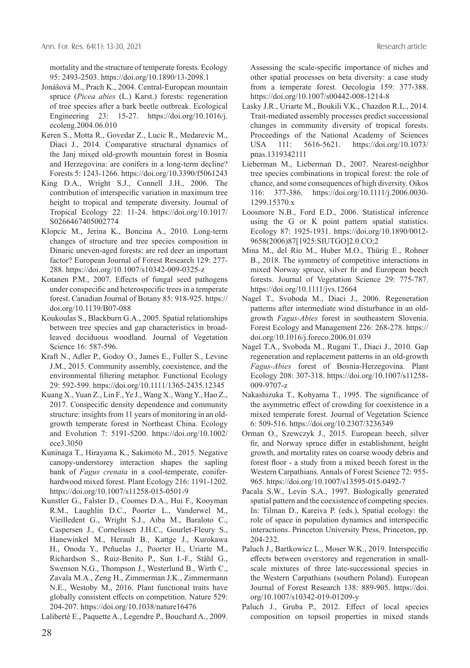mortality and the structure of temperate forests. Ecology 95: 2493-2503. https://doi.org/10.1890/13-2098.1

- Jonášová M., Prach K., 2004. Central-European mountain spruce (*Picea abies* (L.) Karst.) forests: regeneration of tree species after a bark beetle outbreak. Ecological Engineering 23: 15-27. https://doi.org/10.1016/j. ecoleng.2004.06.010
- Keren S., Motta R., Govedar Z., Lucic R., Medarevic M., Diaci J., 2014. Comparative structural dynamics of the Janj mixed old-growth mountain forest in Bosnia and Herzegovina: are conifers in a long-term decline? Forests 5: 1243-1266. https://doi.org/10.3390/f5061243
- King D.A., Wright S.J., Connell J.H., 2006. The contribution of interspecific variation in maximum tree height to tropical and temperate diversity. Journal of Tropical Ecology 22: 11-24. https://doi.org/10.1017/ S0266467405002774
- Klopcic M., Jerina K., Boncina A., 2010. Long-term changes of structure and tree species composition in Dinaric uneven-aged forests: are red deer an important factor? European Journal of Forest Research 129: 277- 288. https://doi.org/10.1007/s10342-009-0325-z
- Kotanen P.M., 2007. Effects of fungal seed pathogens under conspecific and heterospecific trees in a temperate forest. Canadian Journal of Botany 85: 918-925. https:// doi.org/10.1139/B07-088
- Koukoulas S., Blackburn G.A., 2005. Spatial relationships between tree species and gap characteristics in broadleaved deciduous woodland. Journal of Vegetation Science 16: 587-596.
- Kraft N., Adler P., Godoy O., James E., Fuller S., Levine J.M., 2015. Community assembly, coexistence, and the environmental filtering metaphor. Functional Ecology 29: 592-599. https://doi.org/10.1111/1365-2435.12345
- Kuang X., Yuan Z., Lin F., Ye J., Wang X., Wang Y., Hao Z., 2017. Conspecific density dependence and community structure: insights from 11 years of monitoring in an oldgrowth temperate forest in Northeast China. Ecology and Evolution 7: 5191-5200. https://doi.org/10.1002/ ece3.3050
- Kuninaga T., Hirayama K., Sakimoto M., 2015. Negative canopy-understorey interaction shapes the sapling bank of *Fagus crenata* in a cool-temperate, coniferhardwood mixed forest. Plant Ecology 216: 1191-1202. https://doi.org/10.1007/s11258-015-0501-9
- Kunstler G., Falster D., Coomes D.A., Hui F., Kooyman R.M., Laughlin D.C., Poorter L., Vanderwel M., Vieilledent G., Wright S.J., Aiba M., Baraloto C., Caspersen J., Cornelissen J.H.C., Gourlet-Fleury S., Hanewinkel M., Herault B., Kattge J., Kurokawa H., Onoda Y., Peñuelas J., Poorter H., Uriarte M., Richardson S., Ruiz-Benito P., Sun I.-F., Ståhl G., Swenson N.G., Thompson J., Westerlund B., Wirth C., Zavala M.A., Zeng H., Zimmerman J.K., Zimmermann N.E., Westoby M., 2016. Plant functional traits have globally consistent effects on competition. Nature 529: 204-207. https://doi.org/10.1038/nature16476

Laliberté E., Paquette A., Legendre P., Bouchard A., 2009.

Assessing the scale-specific importance of niches and other spatial processes on beta diversity: a case study from a temperate forest. Oecologia 159: 377-388. https://doi.org/10.1007/s00442-008-1214-8

- Lasky J.R., Uriarte M., Boukili V.K., Chazdon R.L., 2014. Trait-mediated assembly processes predict successional changes in community diversity of tropical forests. Proceedings of the National Academy of Sciences USA 111: 5616-5621. https://doi.org/10.1073/ pnas.1319342111
- Lieberman M., Lieberman D., 2007. Nearest-neighbor tree species combinations in tropical forest: the role of chance, and some consequences of high diversity. Oikos 116: 377-386. https://doi.org/10.1111/j.2006.0030- 1299.15370.x
- Loosmore N.B., Ford E.D., 2006. Statistical inference using the G or K point pattern spatial statistics. Ecology 87: 1925-1931. https://doi.org/10.1890/0012- 9658(2006)87[1925:SIUTGO]2.0.CO;2
- Mina M., del Río M., Huber M.O., Thürig E., Rohner B., 2018. The symmetry of competitive interactions in mixed Norway spruce, silver fir and European beech forests. Journal of Vegetation Science 29: 775-787. https://doi.org/10.1111/jvs.12664
- Nagel T., Svoboda M., Diaci J., 2006. Regeneration patterns after intermediate wind disturbance in an oldgrowth *Fagus-Abies* forest in southeastern Slovenia. Forest Ecology and Management 226: 268-278. https:// doi.org/10.1016/j.foreco.2006.01.039
- Nagel T.A., Svoboda M., Rugani T., Diaci J., 2010. Gap regeneration and replacement patterns in an old-growth *Fagus-Abies* forest of Bosnia-Herzegovina. Plant Ecology 208: 307-318. https://doi.org/10.1007/s11258- 009-9707-z
- Nakashizuka T., Kohyama T., 1995. The significance of the asymmetric effect of crowding for coexistence in a mixed temperate forest. Journal of Vegetation Science 6: 509-516. https://doi.org/10.2307/3236349
- Orman O., Szewczyk J., 2015. European beech, silver fir, and Norway spruce differ in establishment, height growth, and mortality rates on coarse woody debris and forest floor - a study from a mixed beech forest in the Western Carpathians. Annals of Forest Science 72: 955- 965. https://doi.org/10.1007/s13595-015-0492-7
- Pacala S.W., Levin S.A., 1997. Biologically generated spatial pattern and the coexistence of competing species. In: Tilman D., Kareiva P. (eds.), Spatial ecology: the role of space in population dynamics and interspecific interactions. Princeton University Press, Princeton, pp. 204-232.
- Paluch J., Bartkowicz L., Moser W.K., 2019. Interspecific effects between overstorey and regeneration in smallscale mixtures of three late-successional species in the Western Carpathians (southern Poland). European Journal of Forest Research 138: 889-905. https://doi. org/10.1007/s10342-019-01209-y
- Paluch J., Gruba P., 2012. Effect of local species composition on topsoil properties in mixed stands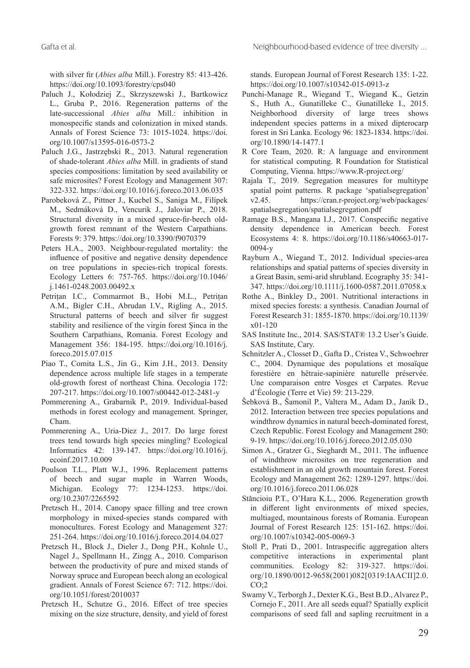with silver fir (*Abies alba* Mill.). Forestry 85: 413-426. https://doi.org/10.1093/forestry/cps040

- Paluch J., Kołodziej Z., Skrzyszewski J., Bartkowicz L., Gruba P., 2016. Regeneration patterns of the late-successional *Abies alba* Mill.: inhibition in monospecific stands and colonization in mixed stands. Annals of Forest Science 73: 1015-1024. https://doi. org/10.1007/s13595-016-0573-2
- Paluch J.G., Jastrzębski R., 2013. Natural regeneration of shade-tolerant *Abies alba* Mill. in gradients of stand species compositions: limitation by seed availability or safe microsites? Forest Ecology and Management 307: 322-332. https://doi.org/10.1016/j.foreco.2013.06.035
- Parobeková Z., Pittner J., Kucbel S., Saniga M., Filípek M., Sedmáková D., Vencurik J., Jaloviar P., 2018. Structural diversity in a mixed spruce-fir-beech oldgrowth forest remnant of the Western Carpathians. Forests 9: 379. https://doi.org/10.3390/f9070379
- Peters H.A., 2003. Neighbour-regulated mortality: the influence of positive and negative density dependence on tree populations in species-rich tropical forests. Ecology Letters 6: 757-765. https://doi.org/10.1046/ j.1461-0248.2003.00492.x
- Petrițan I.C., Commarmot B., Hobi M.L., Petrițan A.M., Bigler C.H., Abrudan I.V., Rigling A., 2015. Structural patterns of beech and silver fir suggest stability and resilience of the virgin forest Șinca in the Southern Carpathians, Romania. Forest Ecology and Management 356: 184-195. https://doi.org/10.1016/j. foreco.2015.07.015
- Piao T., Comita L.S., Jin G., Kim J.H., 2013. Density dependence across multiple life stages in a temperate old-growth forest of northeast China. Oecologia 172: 207-217. https://doi.org/10.1007/s00442-012-2481-y
- Pommerening A., Grabarnik P., 2019. Individual-based methods in forest ecology and management. Springer, Cham.
- Pommerening A., Uria-Diez J., 2017. Do large forest trees tend towards high species mingling? Ecological Informatics 42: 139-147. https://doi.org/10.1016/j. ecoinf.2017.10.009
- Poulson T.L., Platt W.J., 1996. Replacement patterns of beech and sugar maple in Warren Woods, Michigan. Ecology 77: 1234-1253. https://doi. org/10.2307/2265592
- Pretzsch H., 2014. Canopy space filling and tree crown morphology in mixed-species stands compared with monocultures. Forest Ecology and Management 327: 251-264. https://doi.org/10.1016/j.foreco.2014.04.027
- Pretzsch H., Block J., Dieler J., Dong P.H., Kohnle U., Nagel J., Spellmann H., Zingg A., 2010. Comparison between the productivity of pure and mixed stands of Norway spruce and European beech along an ecological gradient. Annals of Forest Science 67: 712. https://doi. org/10.1051/forest/2010037
- Pretzsch H., Schutze G., 2016. Effect of tree species mixing on the size structure, density, and yield of forest

stands. European Journal of Forest Research 135: 1-22. https://doi.org/10.1007/s10342-015-0913-z

- Punchi-Manage R., Wiegand T., Wiegand K., Getzin S., Huth A., Gunatilleke C., Gunatilleke I., 2015. Neighborhood diversity of large trees shows independent species patterns in a mixed dipterocarp forest in Sri Lanka. Ecology 96: 1823-1834. https://doi. org/10.1890/14-1477.1
- R Core Team, 2020. R: A language and environment for statistical computing. R Foundation for Statistical Computing, Vienna. https://www.R-project.org/
- Rajala T., 2019. Segregation measures for multitype spatial point patterns. R package 'spatialsegregation' v2.45. https://cran.r-project.org/web/packages/ spatialsegregation/spatialsegregation.pdf
- Ramage B.S., Mangana I.J., 2017. Conspecific negative density dependence in American beech. Forest Ecosystems 4: 8. https://doi.org/10.1186/s40663-017- 0094-y
- Rayburn A., Wiegand T., 2012. Individual species-area relationships and spatial patterns of species diversity in a Great Basin, semi‐arid shrubland. Ecography 35: 341- 347. https://doi.org/10.1111/j.1600-0587.2011.07058.x
- Rothe A., Binkley D., 2001. Nutritional interactions in mixed species forests: a synthesis. Canadian Journal of Forest Research 31: 1855-1870. https://doi.org/10.1139/ x01-120
- SAS Institute Inc., 2014. SAS/STAT® 13.2 User's Guide. SAS Institute, Cary.
- Schnitzler A., Closset D., Gafta D., Cristea V., Schwoehrer C., 2004. Dynamique des populations et mosaïque forestière en hêtraie-sapinière naturelle préservée. Une comparaison entre Vosges et Carpates. Revue d'Écologie (Terre et Vie) 59: 213-229.
- Šebková B., Šamonil P., Valtera M., Adam D., Janík D., 2012. Interaction between tree species populations and windthrow dynamics in natural beech-dominated forest, Czech Republic. Forest Ecology and Management 280: 9-19. https://doi.org/10.1016/j.foreco.2012.05.030
- Simon A., Gratzer G., Sieghardt M., 2011. The influence of windthrow microsites on tree regeneration and establishment in an old growth mountain forest. Forest Ecology and Management 262: 1289-1297. https://doi. org/10.1016/j.foreco.2011.06.028
- Stăncioiu P.T., O'Hara K.L., 2006. Regeneration growth in different light environments of mixed species, multiaged, mountainous forests of Romania. European Journal of Forest Research 125: 151-162. https://doi. org/10.1007/s10342-005-0069-3
- Stoll P., Prati D., 2001. Intraspecific aggregation alters competitive interactions in experimental plant communities. Ecology 82: 319-327. https://doi. org/10.1890/0012-9658(2001)082[0319:IAACII]2.0.  $CO;2$
- Swamy V., Terborgh J., Dexter K.G., Best B.D., Alvarez P., Cornejo F., 2011. Are all seeds equal? Spatially explicit comparisons of seed fall and sapling recruitment in a